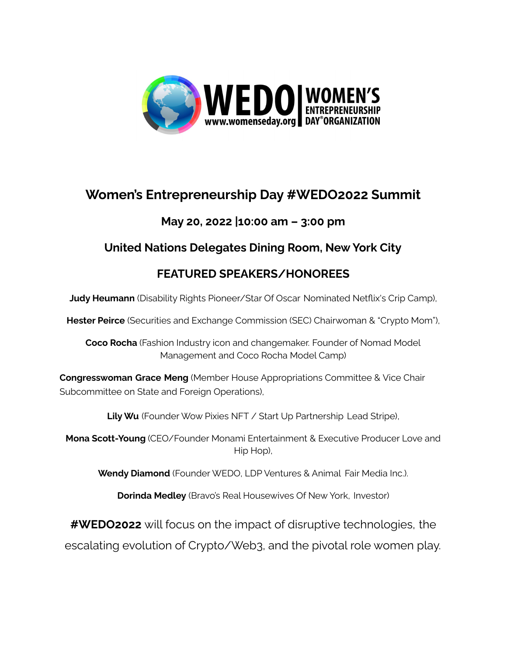

# **Women's Entrepreneurship Day #WEDO2022 Summit**

### **May 20, 2022 |10:00 am – 3:00 pm**

### **United Nations Delegates Dining Room, New York City**

## **FEATURED SPEAKERS/HONOREES**

**Judy Heumann** (Disability Rights Pioneer/Star Of Oscar Nominated Netflix's Crip Camp),

**Hester Peirce** (Securities and Exchange Commission (SEC) Chairwoman & "Crypto Mom"),

**Coco Rocha** (Fashion Industry icon and changemaker. Founder of Nomad Model Management and Coco Rocha Model Camp)

**Congresswoman Grace Meng** (Member House Appropriations Committee & Vice Chair Subcommittee on State and Foreign Operations),

**Lily Wu** (Founder Wow Pixies NFT / Start Up Partnership Lead Stripe),

**Mona Scott-Young** (CEO/Founder Monami Entertainment & Executive Producer Love and Hip Hop),

**Wendy Diamond** (Founder WEDO, LDP Ventures & Animal Fair Media Inc.).

**Dorinda Medley** (Bravo's Real Housewives Of New York, Investor)

**#WEDO2022** will focus on the impact of disruptive technologies, the

escalating evolution of Crypto/Web3, and the pivotal role women play.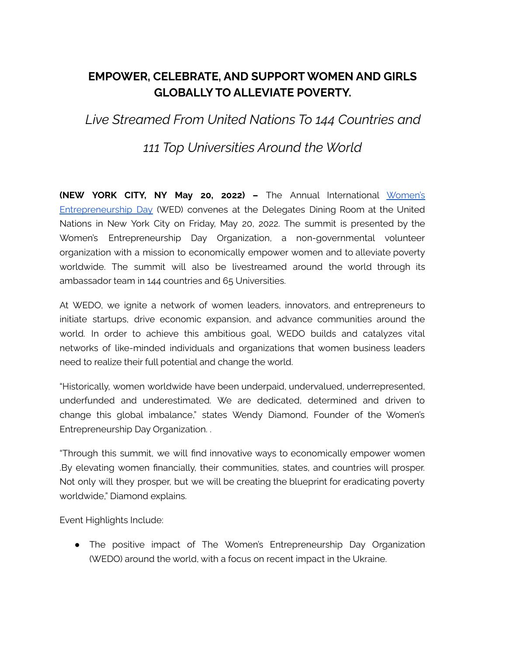### **EMPOWER, CELEBRATE, AND SUPPORT WOMEN AND GIRLS GLOBALLY TO ALLEVIATE POVERTY.**

*Live Streamed From United Nations To 144 Countries and*

*111 Top Universities Around the World*

**(NEW YORK CITY, NY May 20, 2022) –** The Annual International [Women's](http://www.womenseday.org/) [Entrepreneurship](http://www.womenseday.org/) Day (WED) convenes at the Delegates Dining Room at the United Nations in New York City on Friday, May 20, 2022. The summit is presented by the Women's Entrepreneurship Day Organization, a non-governmental volunteer organization with a mission to economically empower women and to alleviate poverty worldwide. The summit will also be livestreamed around the world through its ambassador team in 144 countries and 65 Universities.

At WEDO, we ignite a network of women leaders, innovators, and entrepreneurs to initiate startups, drive economic expansion, and advance communities around the world. In order to achieve this ambitious goal, WEDO builds and catalyzes vital networks of like-minded individuals and organizations that women business leaders need to realize their full potential and change the world.

"Historically, women worldwide have been underpaid, undervalued, underrepresented, underfunded and underestimated. We are dedicated, determined and driven to change this global imbalance," states Wendy Diamond, Founder of the Women's Entrepreneurship Day Organization. .

"Through this summit, we will find innovative ways to economically empower women .By elevating women financially, their communities, states, and countries will prosper. Not only will they prosper, but we will be creating the blueprint for eradicating poverty worldwide," Diamond explains.

Event Highlights Include:

• The positive impact of The Women's Entrepreneurship Day Organization (WEDO) around the world, with a focus on recent impact in the Ukraine.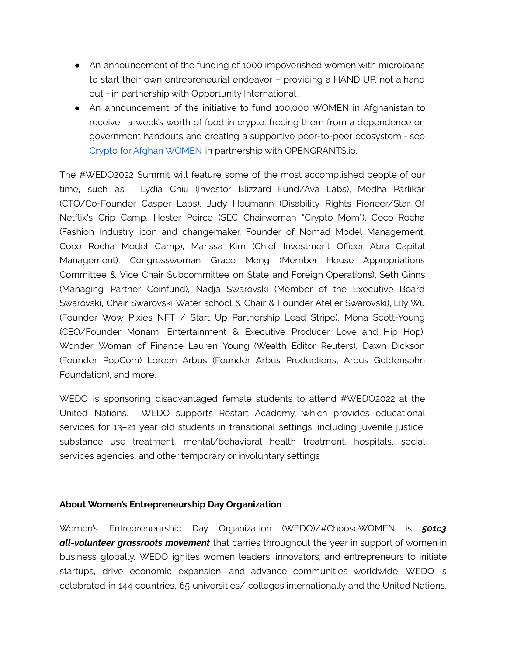- An announcement of the funding of 1000 impoverished women with microloans to start their own entrepreneurial endeavor – providing a HAND UP, not a hand out - in partnership with Opportunity International.
- An announcement of the initiative to fund 100,000 WOMEN in Afghanistan to receive a week's worth of food in crypto, freeing them from a dependence on government handouts and creating a supportive peer-to-peer ecosystem - see Crypto for Afghan [WOMEN](https://www.womenseday.org/impact/social-impact/) in partnership with OPENGRANTS.io.

The #WEDO2022 Summit will feature some of the most accomplished people of our time, such as: Lydia Chiu (Investor Blizzard Fund/Ava Labs), Medha Parlikar (CTO/Co-Founder Casper Labs), Judy Heumann (Disability Rights Pioneer/Star Of Netflix's Crip Camp, Hester Peirce (SEC Chairwoman "Crypto Mom"), Coco Rocha (Fashion Industry icon and changemaker. Founder of Nomad Model Management, Coco Rocha Model Camp), Marissa Kim (Chief Investment Officer Abra Capital Management), Congresswoman Grace Meng (Member House Appropriations Committee & Vice Chair Subcommittee on State and Foreign Operations), Seth Ginns (Managing Partner Coinfund), Nadja Swarovski (Member of the Executive Board Swarovski, Chair Swarovski Water school & Chair & Founder Atelier Swarovski), Lily Wu (Founder Wow Pixies NFT / Start Up Partnership Lead Stripe), Mona Scott-Young (CEO/Founder Monami Entertainment & Executive Producer Love and Hip Hop), Wonder Woman of Finance Lauren Young (Wealth Editor Reuters), Dawn Dickson (Founder PopCom) Loreen Arbus (Founder Arbus Productions, Arbus Goldensohn Foundation), and more.

WEDO is sponsoring disadvantaged female students to attend #WEDO2022 at the United Nations. WEDO supports Restart Academy, which provides educational services for 13–21 year old students in transitional settings, including juvenile justice, substance use treatment, mental/behavioral health treatment, hospitals, social services agencies, and other temporary or involuntary settings .

#### **About Women's Entrepreneurship Day Organization**

Women's Entrepreneurship Day Organization (WEDO)/#ChooseWOMEN is *501c3 all-volunteer grassroots movement* that carries throughout the year in support of women in business globally. WEDO ignites women leaders, innovators, and entrepreneurs to initiate startups, drive economic expansion, and advance communities worldwide. WEDO is celebrated in 144 countries, 65 universities/ colleges internationally and the United Nations.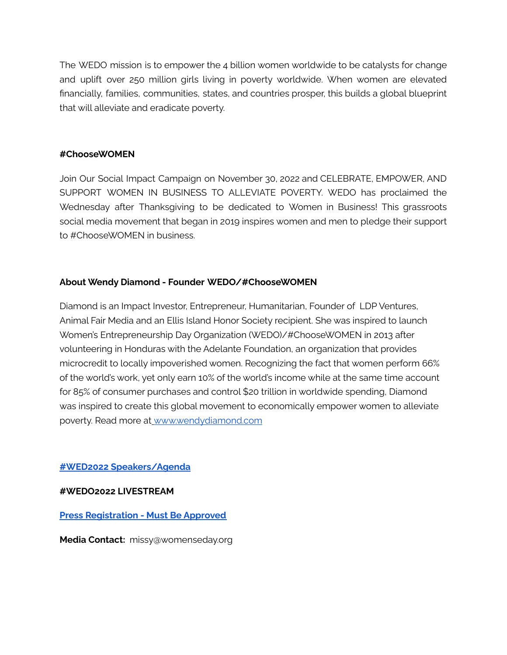The WEDO mission is to empower the 4 billion women worldwide to be catalysts for change and uplift over 250 million girls living in poverty worldwide. When women are elevated financially, families, communities, states, and countries prosper, this builds a global blueprint that will alleviate and eradicate poverty.

#### **#ChooseWOMEN**

Join Our Social Impact Campaign on November 30, 2022 and CELEBRATE, EMPOWER, AND SUPPORT WOMEN IN BUSINESS TO ALLEVIATE POVERTY. WEDO has proclaimed the Wednesday after Thanksgiving to be dedicated to Women in Business! This grassroots social media movement that began in 2019 inspires women and men to pledge their support to #ChooseWOMEN in business.

#### **About Wendy Diamond - Founder WEDO/#ChooseWOMEN**

Diamond is an Impact Investor, Entrepreneur, Humanitarian, Founder of LDP Ventures, Animal Fair Media and an Ellis Island Honor Society recipient. She was inspired to launch Women's Entrepreneurship Day Organization (WEDO)/#ChooseWOMEN in 2013 after volunteering in Honduras with the Adelante Foundation, an organization that provides microcredit to locally impoverished women. Recognizing the fact that women perform 66% of the world's work, yet only earn 10% of the world's income while at the same time account for 85% of consumer purchases and control \$20 trillion in worldwide spending, Diamond was inspired to create this global movement to economically empower women to alleviate poverty. Read more at [www.wendydiamond.com](http://www.wendydiamond.com/)

#### **#WED2022 [Speakers/Agenda](https://docs.google.com/document/d/1ITqSSB2hSOs9GQlybrHKvP1KGogfix_f9PonYPbfLWA/edit?usp=sharing)**

#### **#WEDO2022 LIVESTREAM**

#### **Press [Registration](https://docs.google.com/forms/d/1zUAeipLDvSBkwg34rtvVa306JX-p7VMDcOPtONWKeKo/edit) - Must Be Approved**

**Media Contact:** missy@womenseday.org